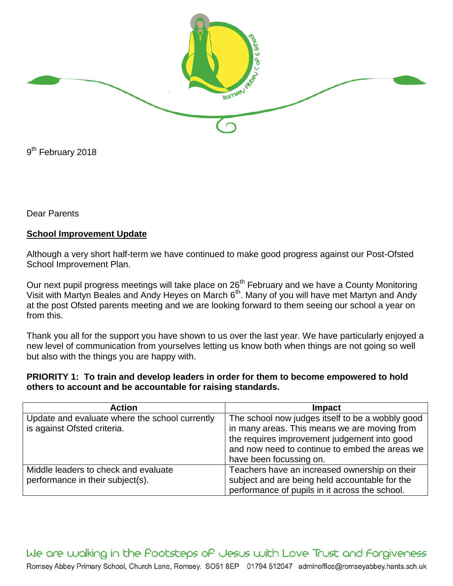

9<sup>th</sup> February 2018

Dear Parents

## **School Improvement Update**

Although a very short half-term we have continued to make good progress against our Post-Ofsted School Improvement Plan.

Our next pupil progress meetings will take place on 26<sup>th</sup> February and we have a County Monitoring Visit with Martyn Beales and Andy Heyes on March  $6<sup>th</sup>$ . Many of you will have met Martyn and Andy at the post Ofsted parents meeting and we are looking forward to them seeing our school a year on from this.

Thank you all for the support you have shown to us over the last year. We have particularly enjoyed a new level of communication from yourselves letting us know both when things are not going so well but also with the things you are happy with.

## **PRIORITY 1: To train and develop leaders in order for them to become empowered to hold others to account and be accountable for raising standards.**

| <b>Action</b>                                  | Impact                                           |
|------------------------------------------------|--------------------------------------------------|
| Update and evaluate where the school currently | The school now judges itself to be a wobbly good |
| is against Ofsted criteria.                    | in many areas. This means we are moving from     |
|                                                | the requires improvement judgement into good     |
|                                                | and now need to continue to embed the areas we   |
|                                                | have been focussing on.                          |
| Middle leaders to check and evaluate           | Teachers have an increased ownership on their    |
| performance in their subject(s).               | subject and are being held accountable for the   |
|                                                | performance of pupils in it across the school.   |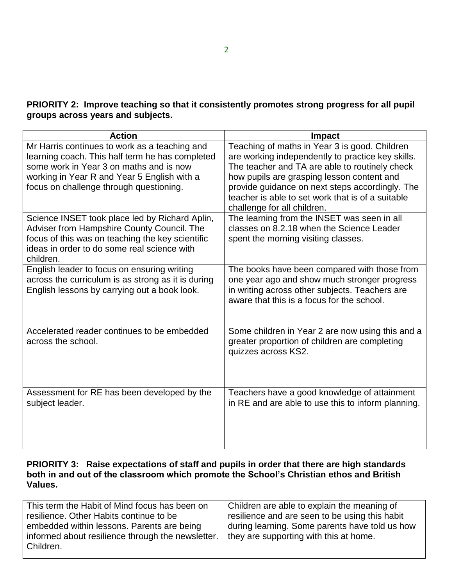**PRIORITY 2: Improve teaching so that it consistently promotes strong progress for all pupil groups across years and subjects.**

| <b>Action</b>                                                                                                                                                                                                                         | <b>Impact</b>                                                                                                                                                                                                                                                                                                                             |
|---------------------------------------------------------------------------------------------------------------------------------------------------------------------------------------------------------------------------------------|-------------------------------------------------------------------------------------------------------------------------------------------------------------------------------------------------------------------------------------------------------------------------------------------------------------------------------------------|
| Mr Harris continues to work as a teaching and<br>learning coach. This half term he has completed<br>some work in Year 3 on maths and is now<br>working in Year R and Year 5 English with a<br>focus on challenge through questioning. | Teaching of maths in Year 3 is good. Children<br>are working independently to practice key skills.<br>The teacher and TA are able to routinely check<br>how pupils are grasping lesson content and<br>provide guidance on next steps accordingly. The<br>teacher is able to set work that is of a suitable<br>challenge for all children. |
| Science INSET took place led by Richard Aplin,<br>Adviser from Hampshire County Council. The<br>focus of this was on teaching the key scientific<br>ideas in order to do some real science with<br>children.                          | The learning from the INSET was seen in all<br>classes on 8.2.18 when the Science Leader<br>spent the morning visiting classes.                                                                                                                                                                                                           |
| English leader to focus on ensuring writing<br>across the curriculum is as strong as it is during<br>English lessons by carrying out a book look.                                                                                     | The books have been compared with those from<br>one year ago and show much stronger progress<br>in writing across other subjects. Teachers are<br>aware that this is a focus for the school.                                                                                                                                              |
| Accelerated reader continues to be embedded<br>across the school.                                                                                                                                                                     | Some children in Year 2 are now using this and a<br>greater proportion of children are completing<br>quizzes across KS2.                                                                                                                                                                                                                  |
| Assessment for RE has been developed by the<br>subject leader.                                                                                                                                                                        | Teachers have a good knowledge of attainment<br>in RE and are able to use this to inform planning.                                                                                                                                                                                                                                        |

## **PRIORITY 3: Raise expectations of staff and pupils in order that there are high standards both in and out of the classroom which promote the School's Christian ethos and British Values.**

| This term the Habit of Mind focus has been on     | Children are able to explain the meaning of    |
|---------------------------------------------------|------------------------------------------------|
| resilience. Other Habits continue to be           | resilience and are seen to be using this habit |
| embedded within lessons. Parents are being        | during learning. Some parents have told us how |
| informed about resilience through the newsletter. | they are supporting with this at home.         |
| Children.                                         |                                                |
|                                                   |                                                |